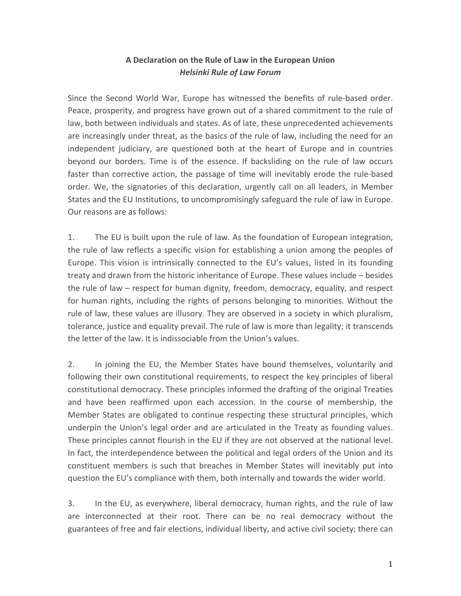## **A Declaration on the Rule of Law in the European Union** *Helsinki Rule of Law Forum*

Since the Second World War, Europe has witnessed the benefits of rule-based order. Peace, prosperity, and progress have grown out of a shared commitment to the rule of law, both between individuals and states. As of late, these unprecedented achievements are increasingly under threat, as the basics of the rule of law, including the need for an independent judiciary, are questioned both at the heart of Europe and in countries beyond our borders. Time is of the essence. If backsliding on the rule of law occurs faster than corrective action, the passage of time will inevitably erode the rule-based order. We, the signatories of this declaration, urgently call on all leaders, in Member States and the EU Institutions, to uncompromisingly safeguard the rule of law in Europe. Our reasons are as follows:

1. The EU is built upon the rule of law. As the foundation of European integration, the rule of law reflects a specific vision for establishing a union among the peoples of Europe. This vision is intrinsically connected to the EU's values, listed in its founding treaty and drawn from the historic inheritance of Europe. These values include – besides the rule of law  $-$  respect for human dignity, freedom, democracy, equality, and respect for human rights, including the rights of persons belonging to minorities. Without the rule of law, these values are illusory. They are observed in a society in which pluralism, tolerance, justice and equality prevail. The rule of law is more than legality; it transcends the letter of the law. It is indissociable from the Union's values.

2. In joining the EU, the Member States have bound themselves, voluntarily and following their own constitutional requirements, to respect the key principles of liberal constitutional democracy. These principles informed the drafting of the original Treaties and have been reaffirmed upon each accession. In the course of membership, the Member States are obligated to continue respecting these structural principles, which underpin the Union's legal order and are articulated in the Treaty as founding values. These principles cannot flourish in the EU if they are not observed at the national level. In fact, the interdependence between the political and legal orders of the Union and its constituent members is such that breaches in Member States will inevitably put into question the EU's compliance with them, both internally and towards the wider world.

3. In the EU, as everywhere, liberal democracy, human rights, and the rule of law are interconnected at their root. There can be no real democracy without the guarantees of free and fair elections, individual liberty, and active civil society; there can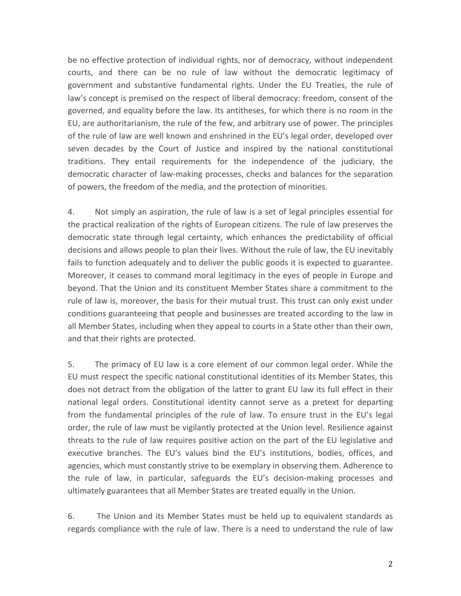be no effective protection of individual rights, nor of democracy, without independent courts, and there can be no rule of law without the democratic legitimacy of government and substantive fundamental rights. Under the EU Treaties, the rule of law's concept is premised on the respect of liberal democracy: freedom, consent of the governed, and equality before the law. Its antitheses, for which there is no room in the EU, are authoritarianism, the rule of the few, and arbitrary use of power. The principles of the rule of law are well known and enshrined in the EU's legal order, developed over seven decades by the Court of Justice and inspired by the national constitutional traditions. They entail requirements for the independence of the judiciary, the democratic character of law-making processes, checks and balances for the separation of powers, the freedom of the media, and the protection of minorities.

4. Not simply an aspiration, the rule of law is a set of legal principles essential for the practical realization of the rights of European citizens. The rule of law preserves the democratic state through legal certainty, which enhances the predictability of official decisions and allows people to plan their lives. Without the rule of law, the EU inevitably fails to function adequately and to deliver the public goods it is expected to guarantee. Moreover, it ceases to command moral legitimacy in the eyes of people in Europe and beyond. That the Union and its constituent Member States share a commitment to the rule of law is, moreover, the basis for their mutual trust. This trust can only exist under conditions guaranteeing that people and businesses are treated according to the law in all Member States, including when they appeal to courts in a State other than their own, and that their rights are protected.

5. The primacy of EU law is a core element of our common legal order. While the EU must respect the specific national constitutional identities of its Member States, this does not detract from the obligation of the latter to grant EU law its full effect in their national legal orders. Constitutional identity cannot serve as a pretext for departing from the fundamental principles of the rule of law. To ensure trust in the EU's legal order, the rule of law must be vigilantly protected at the Union level. Resilience against threats to the rule of law requires positive action on the part of the EU legislative and executive branches. The EU's values bind the EU's institutions, bodies, offices, and agencies, which must constantly strive to be exemplary in observing them. Adherence to the rule of law, in particular, safeguards the EU's decision-making processes and ultimately guarantees that all Member States are treated equally in the Union.

6. The Union and its Member States must be held up to equivalent standards as regards compliance with the rule of law. There is a need to understand the rule of law